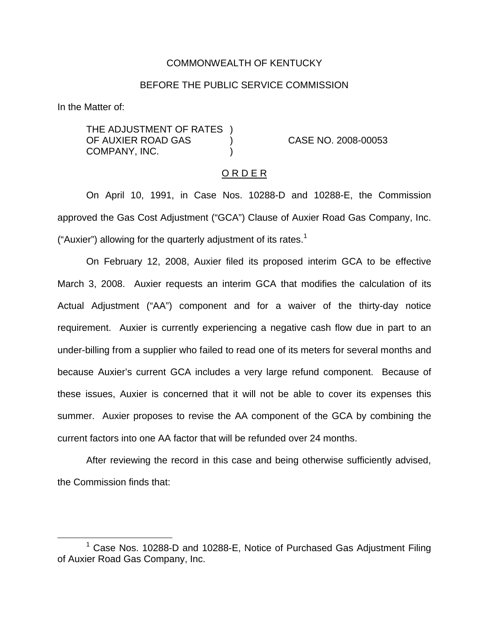#### COMMONWEALTH OF KENTUCKY

#### BEFORE THE PUBLIC SERVICE COMMISSION

In the Matter of:

THE ADJUSTMENT OF RATES ) OF AUXIER ROAD GAS ) CASE NO. 2008-00053 COMPANY, INC.

#### O R D E R

On April 10, 1991, in Case Nos. 10288-D and 10288-E, the Commission approved the Gas Cost Adjustment ("GCA") Clause of Auxier Road Gas Company, Inc. ("Auxier") allowing for the quarterly adjustment of its rates.<sup>1</sup>

On February 12, 2008, Auxier filed its proposed interim GCA to be effective March 3, 2008. Auxier requests an interim GCA that modifies the calculation of its Actual Adjustment ("AA") component and for a waiver of the thirty-day notice requirement. Auxier is currently experiencing a negative cash flow due in part to an under-billing from a supplier who failed to read one of its meters for several months and because Auxier's current GCA includes a very large refund component. Because of these issues, Auxier is concerned that it will not be able to cover its expenses this summer. Auxier proposes to revise the AA component of the GCA by combining the current factors into one AA factor that will be refunded over 24 months.

After reviewing the record in this case and being otherwise sufficiently advised, the Commission finds that:

 $1$  Case Nos. 10288-D and 10288-E, Notice of Purchased Gas Adjustment Filing of Auxier Road Gas Company, Inc.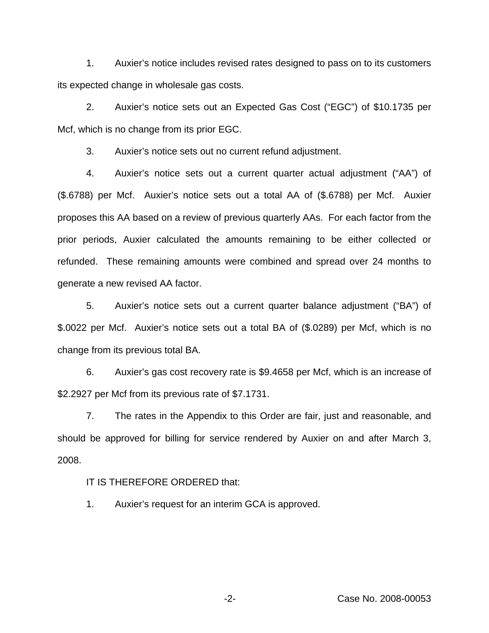1. Auxier's notice includes revised rates designed to pass on to its customers its expected change in wholesale gas costs.

2. Auxier's notice sets out an Expected Gas Cost ("EGC") of \$10.1735 per Mcf, which is no change from its prior EGC.

3. Auxier's notice sets out no current refund adjustment.

4. Auxier's notice sets out a current quarter actual adjustment ("AA") of (\$.6788) per Mcf. Auxier's notice sets out a total AA of (\$.6788) per Mcf. Auxier proposes this AA based on a review of previous quarterly AAs. For each factor from the prior periods, Auxier calculated the amounts remaining to be either collected or refunded. These remaining amounts were combined and spread over 24 months to generate a new revised AA factor.

5. Auxier's notice sets out a current quarter balance adjustment ("BA") of \$.0022 per Mcf. Auxier's notice sets out a total BA of (\$.0289) per Mcf, which is no change from its previous total BA.

6. Auxier's gas cost recovery rate is \$9.4658 per Mcf, which is an increase of \$2.2927 per Mcf from its previous rate of \$7.1731.

7. The rates in the Appendix to this Order are fair, just and reasonable, and should be approved for billing for service rendered by Auxier on and after March 3, 2008.

# IT IS THEREFORE ORDERED that:

1. Auxier's request for an interim GCA is approved.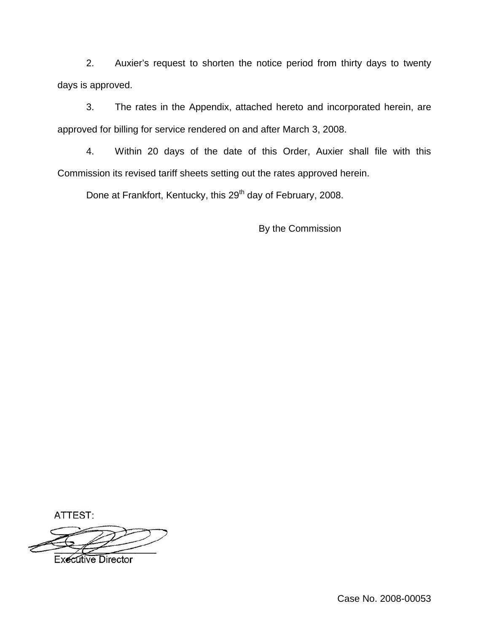2. Auxier's request to shorten the notice period from thirty days to twenty days is approved.

3. The rates in the Appendix, attached hereto and incorporated herein, are approved for billing for service rendered on and after March 3, 2008.

4. Within 20 days of the date of this Order, Auxier shall file with this Commission its revised tariff sheets setting out the rates approved herein.

Done at Frankfort, Kentucky, this 29<sup>th</sup> day of February, 2008.

By the Commission

ATTEST: